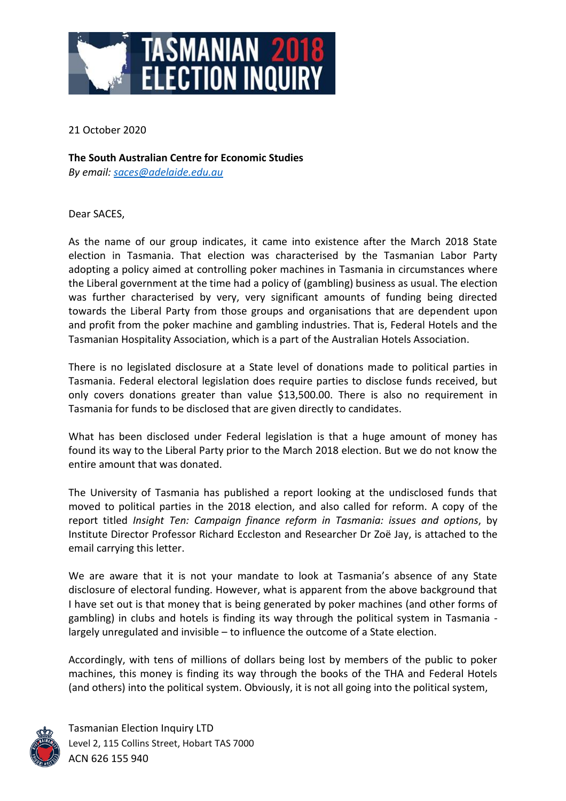

21 October 2020

**The South Australian Centre for Economic Studies** *By email: [saces@adelaide.edu.au](mailto:saces@adelaide.edu.au)*

Dear SACES,

As the name of our group indicates, it came into existence after the March 2018 State election in Tasmania. That election was characterised by the Tasmanian Labor Party adopting a policy aimed at controlling poker machines in Tasmania in circumstances where the Liberal government at the time had a policy of (gambling) business as usual. The election was further characterised by very, very significant amounts of funding being directed towards the Liberal Party from those groups and organisations that are dependent upon and profit from the poker machine and gambling industries. That is, Federal Hotels and the Tasmanian Hospitality Association, which is a part of the Australian Hotels Association.

There is no legislated disclosure at a State level of donations made to political parties in Tasmania. Federal electoral legislation does require parties to disclose funds received, but only covers donations greater than value \$13,500.00. There is also no requirement in Tasmania for funds to be disclosed that are given directly to candidates.

What has been disclosed under Federal legislation is that a huge amount of money has found its way to the Liberal Party prior to the March 2018 election. But we do not know the entire amount that was donated.

The University of Tasmania has published a report looking at the undisclosed funds that moved to political parties in the 2018 election, and also called for reform. A copy of the report titled *Insight Ten: Campaign finance reform in Tasmania: issues and options*, by Institute Director [Professor Richard Eccleston](https://www.utas.edu.au/profiles/staff/social-change/richard-eccleston) and Researcher [Dr Zoë Jay,](https://www.utas.edu.au/profiles/staff/social-sciences/zoe-jay) is attached to the email carrying this letter.

We are aware that it is not your mandate to look at Tasmania's absence of any State disclosure of electoral funding. However, what is apparent from the above background that I have set out is that money that is being generated by poker machines (and other forms of gambling) in clubs and hotels is finding its way through the political system in Tasmania largely unregulated and invisible – to influence the outcome of a State election.

Accordingly, with tens of millions of dollars being lost by members of the public to poker machines, this money is finding its way through the books of the THA and Federal Hotels (and others) into the political system. Obviously, it is not all going into the political system,



Tasmanian Election Inquiry LTD Level 2, 115 Collins Street, Hobart TAS 7000 ACN 626 155 940